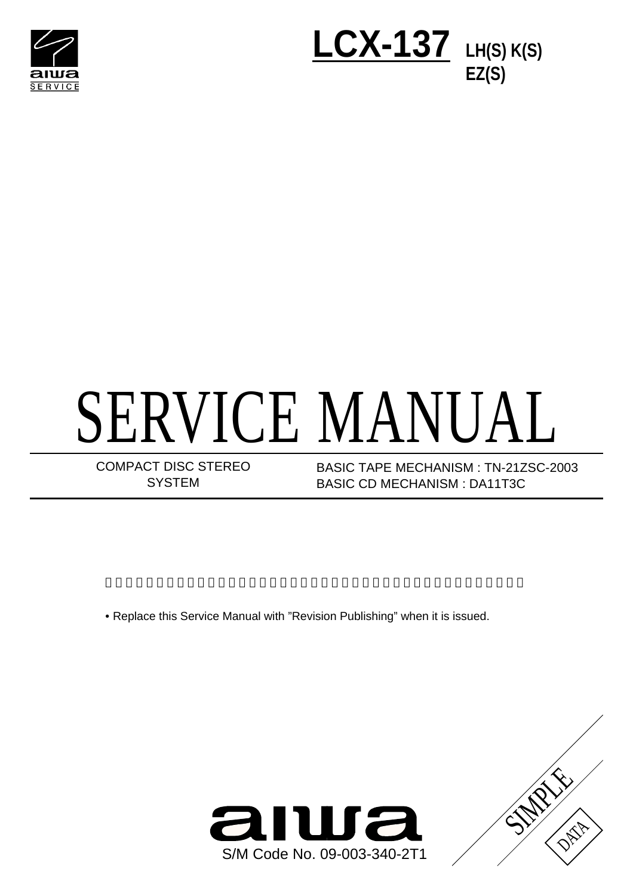



# SERVICE MANUAL

COMPACT DISC STEREO **SYSTEM** 

BASIC CD MECHANISM : DA11T3C BASIC TAPE MECHANISM : TN-21ZSC-2003

• Replace this Service Manual with "Revision Publishing" when it is issued.



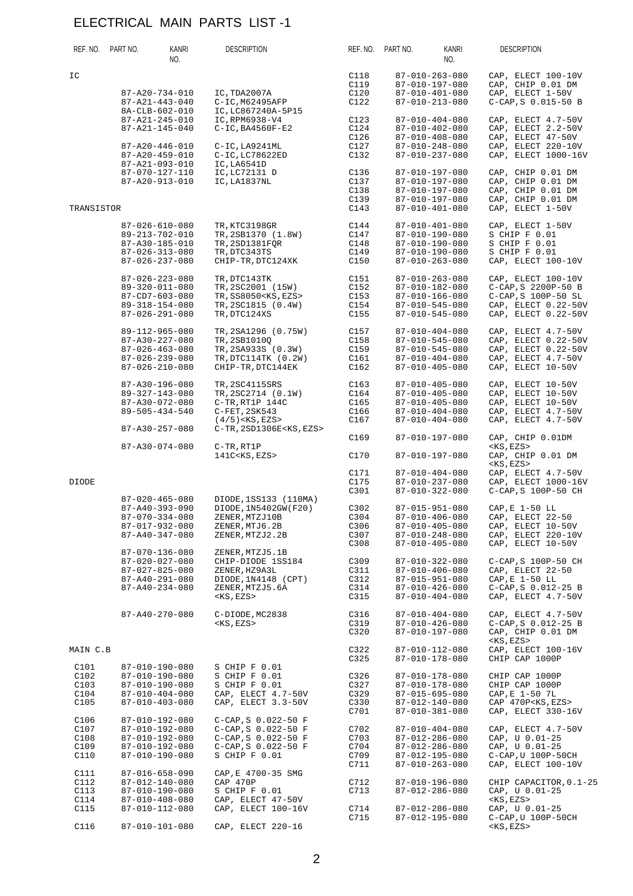|                                      | REF. NO. PART NO. | KANRI<br>NO.                                                                                                                   | <b>DESCRIPTION</b>                                                                                                      |                                      | REF. NO. PART NO. | KANRI<br>NO.                                                                                                           | <b>DESCRIPTION</b>                                                                                             |
|--------------------------------------|-------------------|--------------------------------------------------------------------------------------------------------------------------------|-------------------------------------------------------------------------------------------------------------------------|--------------------------------------|-------------------|------------------------------------------------------------------------------------------------------------------------|----------------------------------------------------------------------------------------------------------------|
| IC                                   |                   | $87 - A20 - 734 - 010$<br>$87 - A21 - 443 - 040$                                                                               | IC, TDA2007A<br>C-IC, M62495AFP                                                                                         | C118<br>C119<br>C120<br>C122         |                   | $87 - 010 - 263 - 080$<br>87-010-197-080<br>87-010-401-080<br>87-010-213-080                                           | CAP, ELECT 100-10V<br>CAP, CHIP 0.01 DM<br>CAP, ELECT 1-50V<br>$C-CAP$ , $S$ 0.015-50 B                        |
|                                      |                   | 8A-CLB-602-010<br>87-A21-245-010<br>87-A21-145-040<br>$87 - A20 - 446 - 010$<br>$87 - A20 - 459 - 010$                         | IC, LC867240A-5P15<br>IC, RPM6938-V4<br>$C-IC$ , BA4560F-E2<br>C-IC, LA9241ML<br>C-IC, LC78622ED                        | C123<br>C124<br>C126<br>C127<br>C132 |                   | 87-010-404-080<br>87-010-402-080<br>$87 - 010 - 408 - 080$<br>87-010-248-080<br>87-010-237-080                         | CAP, ELECT 4.7-50V<br>CAP, ELECT 2.2-50V<br>CAP, ELECT 47-50V<br>CAP, ELECT 220-10V<br>CAP, ELECT 1000-16V     |
|                                      |                   | 87-A21-093-010<br>87-070-127-110<br>87-A20-913-010                                                                             | IC, LA6541D<br>IC, LC72131 D<br>IC, LA1837NL                                                                            | C136<br>C137<br>C138<br>C139         |                   | 87-010-197-080<br>87-010-197-080<br>87-010-197-080<br>87-010-197-080                                                   | CAP, CHIP 0.01 DM<br>CAP, CHIP 0.01 DM<br>CAP, CHIP 0.01 DM<br>CAP, CHIP 0.01 DM                               |
| TRANSISTOR                           |                   |                                                                                                                                |                                                                                                                         | C143                                 |                   | 87-010-401-080                                                                                                         | CAP, ELECT 1-50V                                                                                               |
|                                      |                   | $87 - 026 - 610 - 080$<br>89-213-702-010<br>87-A30-185-010<br>$87 - 026 - 313 - 080$<br>$87 - 026 - 237 - 080$                 | TR, KTC3198GR<br>TR, 2SB1370 (1.8W)<br>TR, 2SD1381FQR<br>TR, DTC343TS<br>CHIP-TR, DTC124XK                              | C144<br>C147<br>C148<br>C149<br>C150 |                   | 87-010-401-080<br>87-010-190-080<br>87-010-190-080<br>87-010-190-080<br>$87 - 010 - 263 - 080$                         | CAP, ELECT 1-50V<br>S CHIP F 0.01<br>S CHIP F 0.01<br>S CHIP F 0.01<br>CAP, ELECT 100-10V                      |
|                                      |                   | $87 - 026 - 223 - 080$<br>$89 - 320 - 011 - 080$<br>87-CD7-603-080<br>89-318-154-080<br>$87 - 026 - 291 - 080$                 | TR, DTC143TK<br>TR, 2SC2001 (15W)<br>TR, SS8050 <ks, ezs=""><br/>TR, 2SC1815 (0.4W)<br/>TR, DTC124XS</ks,>              | C151<br>C152<br>C153<br>C154<br>C155 |                   | 87-010-263-080<br>87-010-182-080<br>87-010-166-080<br>87-010-545-080<br>87-010-545-080                                 | CAP, ELECT 100-10V<br>C-CAP, S 2200P-50 B<br>C-CAP, S 100P-50 SL<br>CAP, ELECT 0.22-50V<br>CAP, ELECT 0.22-50V |
|                                      |                   | 89-112-965-080<br>$87 - A30 - 227 - 080$<br>$87 - 026 - 463 - 080$<br>$87 - 026 - 239 - 080$<br>$87 - 026 - 210 - 080$         | TR, 2SA1296 (0.75W)<br>TR, 2SB1010Q<br>TR, 2SA933S (0.3W)<br>TR, DTC114TK (0.2W)<br>CHIP-TR, DTC144EK                   | C157<br>C158<br>C159<br>C161<br>C162 |                   | $87 - 010 - 404 - 080$<br>87-010-545-080<br>87-010-545-080<br>$87 - 010 - 404 - 080$<br>$87 - 010 - 405 - 080$         | CAP, ELECT 4.7-50V<br>CAP, ELECT 0.22-50V<br>CAP, ELECT 0.22-50V<br>CAP, ELECT 4.7-50V<br>CAP, ELECT 10-50V    |
|                                      |                   | 87-A30-196-080<br>$89 - 327 - 143 - 080$<br>87-A30-072-080<br>$89 - 505 - 434 - 540$                                           | TR, 2SC4115SRS<br>TR, 2SC2714 (0.1W)<br>C-TR, RT1P 144C<br>$C-$ FET, $2SK543$<br>$(4/5)$ < KS, EZS >                    | C163<br>C164<br>C165<br>C166<br>C167 |                   | $87 - 010 - 405 - 080$<br>87-010-405-080<br>$87 - 010 - 405 - 080$<br>87-010-404-080<br>$87 - 010 - 404 - 080$         | CAP, ELECT 10-50V<br>CAP, ELECT 10-50V<br>CAP, ELECT 10-50V<br>CAP, ELECT 4.7-50V<br>CAP, ELECT 4.7-50V        |
|                                      |                   | $87 - A30 - 257 - 080$                                                                                                         | C-TR, 2SD1306E <ks, ezs=""></ks,>                                                                                       | C169                                 |                   | 87-010-197-080                                                                                                         | CAP, CHIP 0.01DM                                                                                               |
|                                      |                   | $87 - A30 - 074 - 080$                                                                                                         | C-TR, RT1P<br>141C <ks, ezs=""></ks,>                                                                                   | C170                                 |                   | 87-010-197-080                                                                                                         | <ks,ezs><br/>CAP, CHIP 0.01 DM<br/><math>&lt;</math>KS, EZS&gt;</ks,ezs>                                       |
| <b>DIODE</b>                         |                   |                                                                                                                                |                                                                                                                         | C171<br>C175<br>C301                 |                   | 87-010-404-080<br>87-010-237-080<br>$87 - 010 - 322 - 080$                                                             | CAP, ELECT 4.7-50V<br>CAP, ELECT 1000-16V<br>$C-CAP$ , S $100P-50$ CH                                          |
|                                      |                   | $87 - 020 - 465 - 080$<br>$87 - A40 - 393 - 090$<br>$87 - 070 - 334 - 080$<br>87-017-932-080<br>$87 - A40 - 347 - 080$         | DIODE, 1SS133 (110MA)<br>DIODE, 1N5402GW (F20)<br>ZENER, MTZJ10B<br>ZENER, MTJ6.2B<br>ZENER, MTZJ2.2B                   | C302<br>C304<br>C306<br>C307<br>C308 |                   | 87-015-951-080<br>$87 - 010 - 406 - 080$<br>$87 - 010 - 405 - 080$<br>$87 - 010 - 248 - 080$<br>87-010-405-080         | CAP, E 1-50 LL<br>CAP, ELECT 22-50<br>CAP, ELECT 10-50V<br>CAP, ELECT 220-10V<br>CAP, ELECT 10-50V             |
|                                      |                   | $87 - 070 - 136 - 080$<br>$87 - 020 - 027 - 080$<br>$87 - 027 - 825 - 080$<br>$87 - A40 - 291 - 080$<br>$87 - A40 - 234 - 080$ | ZENER, MTZJ5.1B<br>CHIP-DIODE 1SS184<br>ZENER, HZ9A3L<br>DIODE, 1N4148 (CPT)<br>ZENER, MTZJ5.6A<br>$<$ KS, EZS>         | C309<br>C311<br>C312<br>C314<br>C315 |                   | $87 - 010 - 322 - 080$<br>$87 - 010 - 406 - 080$<br>87-015-951-080<br>$87 - 010 - 426 - 080$<br>$87 - 010 - 404 - 080$ | C-CAP, S 100P-50 CH<br>CAP, ELECT 22-50<br>CAP, E 1-50 LL<br>C-CAP, S 0.012-25 B<br>CAP, ELECT 4.7-50V         |
|                                      |                   | $87 - A40 - 270 - 080$                                                                                                         | C-DIODE, MC2838<br>$<$ KS, EZS>                                                                                         | C316<br>C319<br>C320                 |                   | $87 - 010 - 404 - 080$<br>$87 - 010 - 426 - 080$<br>87-010-197-080                                                     | CAP, ELECT 4.7-50V<br>C-CAP, S 0.012-25 B<br>CAP, CHIP 0.01 DM                                                 |
| MAIN C.B                             |                   |                                                                                                                                |                                                                                                                         | C322<br>C325                         |                   | 87-010-112-080<br>87-010-178-080                                                                                       | $<$ KS, EZS><br>CAP, ELECT 100-16V<br>CHIP CAP 1000P                                                           |
| C101<br>C102<br>C103<br>C104<br>C105 |                   | 87-010-190-080<br>87-010-190-080<br>87-010-190-080<br>$87 - 010 - 404 - 080$<br>$87 - 010 - 403 - 080$                         | S CHIP F 0.01<br>S CHIP F 0.01<br>S CHIP F 0.01<br>CAP, ELECT 4.7-50V<br>CAP, ELECT 3.3-50V                             | C326<br>C327<br>C329<br>C330<br>C701 |                   | 87-010-178-080<br>87-010-178-080<br>87-015-695-080<br>87-012-140-080<br>87-010-381-080                                 | CHIP CAP 1000P<br>CHIP CAP 1000P<br>CAP, E 1-50 7L<br>CAP 470P <ks, ezs=""><br/>CAP, ELECT 330-16V</ks,>       |
| C106<br>C107<br>C108<br>C109<br>C110 |                   | 87-010-192-080<br>87-010-192-080<br>87-010-192-080<br>87-010-192-080<br>87-010-190-080                                         | $C-CAP$ , $S$ 0.022-50 $F$<br>C-CAP, S 0.022-50 F<br>C-CAP, S 0.022-50 F<br>$C-CAP$ , $S$ 0.022-50 $F$<br>S CHIP F 0.01 | C702<br>C703<br>C704<br>C709<br>C711 |                   | $87 - 010 - 404 - 080$<br>87-012-286-080<br>87-012-286-080<br>87-012-195-080<br>$87 - 010 - 263 - 080$                 | CAP, ELECT 4.7-50V<br>CAP, U 0.01-25<br>CAP, U 0.01-25<br>C-CAP, U 100P-50CH<br>CAP, ELECT 100-10V             |
| C111<br>C112<br>C113<br>C114         |                   | $87 - 016 - 658 - 090$<br>87-012-140-080<br>87-010-190-080<br>$87 - 010 - 408 - 080$                                           | CAP, E 4700-35 SMG<br>CAP 470P<br>S CHIP F 0.01<br>CAP, ELECT 47-50V                                                    | C712<br>C713                         |                   | 87-010-196-080<br>87-012-286-080                                                                                       | CHIP CAPACITOR, 0.1-25<br>CAP, U 0.01-25<br>$<$ $KS$ , $EZS$                                                   |
| C115<br>C116                         |                   | 87-010-112-080<br>87-010-101-080                                                                                               | CAP, ELECT 100-16V<br>CAP, ELECT 220-16                                                                                 | C714<br>C715                         |                   | 87-012-286-080<br>87-012-195-080                                                                                       | CAP, U 0.01-25<br>C-CAP, U 100P-50CH<br><ks,ezs></ks,ezs>                                                      |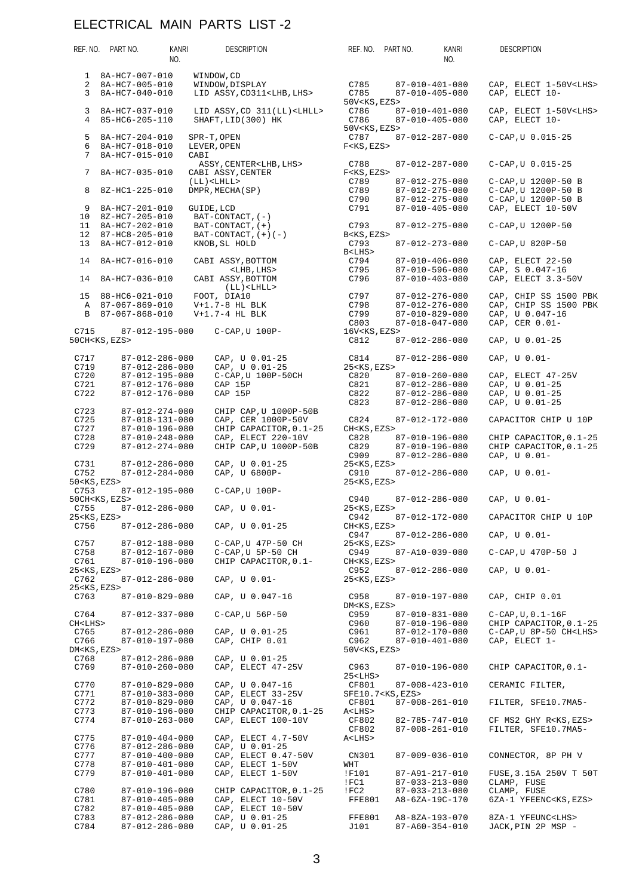|                               | REF. NO. PART NO.                                | KANRI<br>NO. | <b>DESCRIPTION</b>                                        | REF. NO. PART NO.                                                 |                            | KANRI<br>NO.                                     | <b>DESCRIPTION</b>                |                                 |
|-------------------------------|--------------------------------------------------|--------------|-----------------------------------------------------------|-------------------------------------------------------------------|----------------------------|--------------------------------------------------|-----------------------------------|---------------------------------|
| 1                             | 8A-HC7-007-010                                   |              | WINDOW, CD                                                |                                                                   |                            |                                                  |                                   |                                 |
| $\overline{a}$<br>3           | 8A-HC7-005-010<br>8A-HC7-040-010                 |              | WINDOW, DISPLAY<br>LID ASSY, CD311 <lhb, lhs=""></lhb,>   | C785<br>C785                                                      |                            | $87 - 010 - 401 - 080$<br>$87 - 010 - 405 - 080$ | CAP, ELECT 10-                    | CAP, ELECT 1-50V <lhs></lhs>    |
| 3<br>4                        | 8A-HC7-037-010<br>85-HC6-205-110                 |              | LID ASSY, CD 311(LL) <lhll><br/>SHAFT, LID(300) HK</lhll> | 50V <ks, ezs=""><br/>C786<br/>C786</ks,>                          |                            | $87 - 010 - 401 - 080$<br>$87 - 010 - 405 - 080$ | CAP, ELECT 10-                    | CAP, ELECT 1-50V <lhs></lhs>    |
| 5<br>6                        | 8A-HC7-204-010<br>8A-HC7-018-010                 |              | SPR-T, OPEN<br>LEVER, OPEN                                | 50V <ks, ezs=""><br/>C787<br/><math>F&lt;</math>KS, EZS&gt;</ks,> |                            | 87-012-287-080                                   | $C-CAP, U 0.015-25$               |                                 |
| 7<br>7                        | 8A-HC7-015-010<br>8A-HC7-035-010                 | CABI         | ASSY, CENTER <lhb, lhs=""><br/>CABI ASSY, CENTER</lhb,>   | C788<br>$F < KS$ , $EZS$                                          |                            | 87-012-287-080                                   | $C-CAP, U 0.015-25$               |                                 |
|                               |                                                  |              | $(LL)$ < $LHL$                                            | C789                                                              |                            | 87-012-275-080                                   |                                   | C-CAP, U 1200P-50 B             |
| 8                             | 8Z-HC1-225-010                                   |              | DMPR, MECHA(SP)                                           | C789                                                              |                            | 87-012-275-080                                   |                                   | C-CAP, U 1200P-50 B             |
|                               |                                                  |              |                                                           | C790                                                              |                            | $87 - 012 - 275 - 080$                           |                                   | C-CAP, U 1200P-50 B             |
| 9<br>10                       | 8A-HC7-201-010<br>8Z-HC7-205-010                 | GUIDE, LCD   | $BAT-CONTACT$ , $(-)$                                     | C791                                                              |                            | $87 - 010 - 405 - 080$                           |                                   | CAP, ELECT 10-50V               |
| 11<br>12                      | 8A-HC7-202-010<br>87-HC8-205-010                 |              | $BAT-CONTACT$ , $(+)$<br>$BAT-CONTACT$ , $(+)$ $(-)$      | C793<br>B <ks, ezs=""></ks,>                                      |                            | $87 - 012 - 275 - 080$                           | C-CAP, U 1200P-50                 |                                 |
| 13                            | 8A-HC7-012-010                                   |              | KNOB, SL HOLD                                             | C793<br>B <lhs></lhs>                                             |                            | 87-012-273-080                                   | $C-CAP$ , $U$ 820P-50             |                                 |
| 14                            | 8A-HC7-016-010                                   |              | CABI ASSY, BOTTOM                                         | C794                                                              |                            | $87 - 010 - 406 - 080$                           | CAP, ELECT 22-50                  |                                 |
|                               |                                                  |              | <lhb, lhs=""></lhb,>                                      | C795                                                              |                            | 87-010-596-080                                   | CAP, S 0.047-16                   |                                 |
| 14                            | 8A-HC7-036-010                                   |              | CABI ASSY, BOTTOM<br>$(LL)$ < $LHL$                       | C796                                                              |                            | $87 - 010 - 403 - 080$                           |                                   | CAP, ELECT 3.3-50V              |
|                               | 15 88-HC6-021-010                                |              | FOOT, DIA10                                               | C797                                                              |                            | 87-012-276-080                                   |                                   | CAP, CHIP SS 1500 PBK           |
|                               | A 87-067-869-010                                 |              | $V+1.7-8$ HL BLK                                          | C798                                                              |                            | 87-012-276-080                                   |                                   | CAP, CHIP SS 1500 PBK           |
| B                             | 87-067-868-010                                   |              | $V+1.7-4$ HL BLK                                          | C799<br>C803                                                      |                            | $87 - 010 - 829 - 080$<br>$87 - 018 - 047 - 080$ | CAP, U 0.047-16<br>CAP, CER 0.01- |                                 |
| C715                          | 87-012-195-080                                   |              | $C-CAP$ , $U$ $100P-$                                     | 16V <ks, ezs=""></ks,>                                            |                            |                                                  |                                   |                                 |
|                               | 50CH <ks, ezs=""></ks,>                          |              |                                                           | C812                                                              |                            | 87-012-286-080                                   | CAP, U 0.01-25                    |                                 |
| C717<br>C719                  | $87 - 012 - 286 - 080$<br>87-012-286-080         |              | CAP, U 0.01-25<br>CAP, U 0.01-25                          | C814<br>25 <ks, ezs=""></ks,>                                     |                            | 87-012-286-080                                   | CAP, U 0.01-                      |                                 |
| C720                          | 87-012-195-080                                   |              | C-CAP, U 100P-50CH                                        | C820                                                              |                            | $87 - 010 - 260 - 080$                           |                                   | CAP, ELECT 47-25V               |
| C721                          | 87-012-176-080                                   |              | CAP 15P                                                   | C821                                                              |                            | 87-012-286-080                                   | CAP, U 0.01-25                    |                                 |
| C722                          | 87-012-176-080                                   |              | CAP 15P                                                   | C822                                                              |                            | 87-012-286-080                                   | CAP, U 0.01-25                    |                                 |
| C723                          | $87 - 012 - 274 - 080$                           |              | CHIP CAP, U 1000P-50B                                     | C823                                                              |                            | 87-012-286-080                                   | CAP, U 0.01-25                    |                                 |
| C725<br>C727                  | 87-018-131-080<br>87-010-196-080                 |              | CAP, CER 1000P-50V<br>CHIP CAPACITOR, 0.1-25              | C824<br>CH <ks, ezs=""></ks,>                                     |                            | 87-012-172-080                                   |                                   | CAPACITOR CHIP U 10P            |
| C728                          | $87 - 010 - 248 - 080$                           |              | CAP, ELECT 220-10V                                        | C828                                                              |                            | 87-010-196-080                                   |                                   | CHIP CAPACITOR, 0.1-25          |
| C729                          | $87 - 012 - 274 - 080$                           |              | CHIP CAP, U 1000P-50B                                     | C829<br>C909                                                      |                            | 87-010-196-080<br>87-012-286-080                 | CAP, U 0.01-                      | CHIP CAPACITOR, 0.1-25          |
| C731<br>C752                  | $87 - 012 - 286 - 080$<br>$87 - 012 - 284 - 080$ |              | CAP, U 0.01-25<br>CAP, U 6800P-                           | 25 <ks, ezs=""><br/>C910</ks,>                                    |                            | 87-012-286-080                                   | CAP, U 0.01-                      |                                 |
| 50 <ks, ezs=""></ks,>         |                                                  |              |                                                           | 25 <ks, ezs=""></ks,>                                             |                            |                                                  |                                   |                                 |
| C753                          | 87-012-195-080<br>50CH <ks, ezs=""></ks,>        |              | $C-CAP$ , $U$ 100P-                                       | C940                                                              |                            | 87-012-286-080                                   | CAP, U 0.01-                      |                                 |
| C755                          | $87 - 012 - 286 - 080$                           |              | CAP, U 0.01-                                              | 25 <ks, ezs=""></ks,>                                             |                            |                                                  |                                   |                                 |
| 25 <ks, ezs=""></ks,>         |                                                  |              |                                                           | C942                                                              |                            | 87-012-172-080                                   |                                   | CAPACITOR CHIP U 10P            |
| C756                          | $87 - 012 - 286 - 080$                           |              | CAP, U 0.01-25                                            | CH <ks, ezs=""><br/>C947</ks,>                                    |                            | 87-012-286-080                                   | CAP, U 0.01-                      |                                 |
| C757                          | 87-012-188-080                                   |              | $C-CAP$ , $U$ 47P-50 $CH$                                 | 25 <ks, ezs=""></ks,>                                             |                            |                                                  |                                   |                                 |
| C758<br>C761                  | 87-012-167-080<br>87-010-196-080                 |              | C-CAP, U 5P-50 CH<br>CHIP CAPACITOR, 0.1-                 | C949<br>CH <ks, ezs=""></ks,>                                     |                            | 87-A10-039-080                                   |                                   | C-CAP, U 470P-50 J              |
| 25 <ks, ezs=""></ks,>         |                                                  |              |                                                           | C952                                                              |                            | 87-012-286-080                                   | CAP, U 0.01-                      |                                 |
| C762<br>25 <ks, ezs=""></ks,> | $87 - 012 - 286 - 080$                           |              | CAP, U 0.01-                                              | 25 <ks, ezs=""></ks,>                                             |                            |                                                  |                                   |                                 |
| C763                          | $87 - 010 - 829 - 080$                           |              | CAP, U 0.047-16                                           | C958<br>DM <ks, ezs=""></ks,>                                     |                            | 87-010-197-080                                   | CAP, CHIP 0.01                    |                                 |
| C764<br>CH <lihs></lihs>      | $87 - 012 - 337 - 080$                           |              | C-CAP, U 56P-50                                           | C959<br>C960                                                      |                            | 87-010-831-080<br>87-010-196-080                 | $C-CAP, U, 0.1-16F$               | CHIP CAPACITOR, 0.1-25          |
| C765                          | 87-012-286-080                                   |              | CAP, U 0.01-25                                            | C961                                                              |                            | 87-012-170-080                                   |                                   | C-CAP, U 8P-50 CH <lhs></lhs>   |
| C766<br>DM <ks, ezs=""></ks,> | 87-010-197-080                                   |              | CAP, CHIP 0.01                                            | C962<br>50V <ks, ezs=""></ks,>                                    |                            | 87-010-401-080                                   | CAP, ELECT 1-                     |                                 |
| C768                          | 87-012-286-080                                   |              | CAP, U 0.01-25                                            |                                                                   |                            |                                                  |                                   |                                 |
| C769                          | $87 - 010 - 260 - 080$                           |              | CAP, ELECT 47-25V                                         | C963<br>25 <lhs></lhs>                                            |                            | 87-010-196-080                                   |                                   | CHIP CAPACITOR, 0.1-            |
| C770                          | 87-010-829-080                                   |              | CAP, U 0.047-16                                           | CF801                                                             |                            | 87-008-423-010                                   | CERAMIC FILTER,                   |                                 |
| C771<br>C772                  | $87 - 010 - 383 - 080$<br>87-010-829-080         |              | CAP, ELECT 33-25V<br>CAP, U 0.047-16                      | CF801                                                             | SFE10.7 <ks, ezs=""></ks,> | $87 - 008 - 261 - 010$                           |                                   | FILTER, SFE10.7MA5-             |
| C773                          | 87-010-196-080                                   |              | CHIP CAPACITOR, 0.1-25                                    | A <lhs></lhs>                                                     |                            |                                                  |                                   |                                 |
| C774                          | $87 - 010 - 263 - 080$                           |              | CAP, ELECT 100-10V                                        | CF802                                                             |                            | 82-785-747-010                                   |                                   | CF MS2 GHY R <ks, ezs=""></ks,> |
| C775                          | $87 - 010 - 404 - 080$                           |              | CAP, ELECT 4.7-50V                                        | CF802<br>A <lhs></lhs>                                            |                            | $87 - 008 - 261 - 010$                           |                                   | FILTER, SFE10.7MA5-             |
| C776                          | 87-012-286-080                                   |              | CAP, U 0.01-25                                            |                                                                   |                            |                                                  |                                   |                                 |
| C777                          | $87 - 010 - 400 - 080$                           |              | CAP, ELECT 0.47-50V                                       | CN301                                                             |                            | $87 - 009 - 036 - 010$                           |                                   | CONNECTOR, 8P PH V              |
| C778                          | $87 - 010 - 401 - 080$                           |              | CAP, ELECT 1-50V                                          | WHT                                                               |                            |                                                  |                                   |                                 |
| C779                          | $87 - 010 - 401 - 080$                           |              | CAP, ELECT 1-50V                                          | !F101<br>!FC1                                                     |                            | 87-A91-217-010<br>$87 - 033 - 213 - 080$         | CLAMP, FUSE                       | FUSE, 3.15A 250V T 50T          |
| C780                          | 87-010-196-080                                   |              | CHIP CAPACITOR, 0.1-25                                    | !FC2                                                              |                            | $87 - 033 - 213 - 080$                           | CLAMP, FUSE                       |                                 |
| C781                          | $87 - 010 - 405 - 080$                           |              | CAP, ELECT 10-50V                                         | <b>FFE801</b>                                                     |                            | A8-6ZA-19C-170                                   |                                   | 6ZA-1 YFEENC <ks, ezs=""></ks,> |
| C782<br>C783                  | $87 - 010 - 405 - 080$<br>87-012-286-080         |              | CAP, ELECT 10-50V<br>CAP, U 0.01-25                       | FFE801                                                            |                            | A8-8ZA-193-070                                   |                                   | 8ZA-1 YFEUNC <lhs></lhs>        |
| C784                          | 87-012-286-080                                   |              | CAP, U 0.01-25                                            | J101                                                              |                            | $87 - A60 - 354 - 010$                           |                                   | JACK, PIN 2P MSP -              |
|                               |                                                  |              |                                                           |                                                                   |                            |                                                  |                                   |                                 |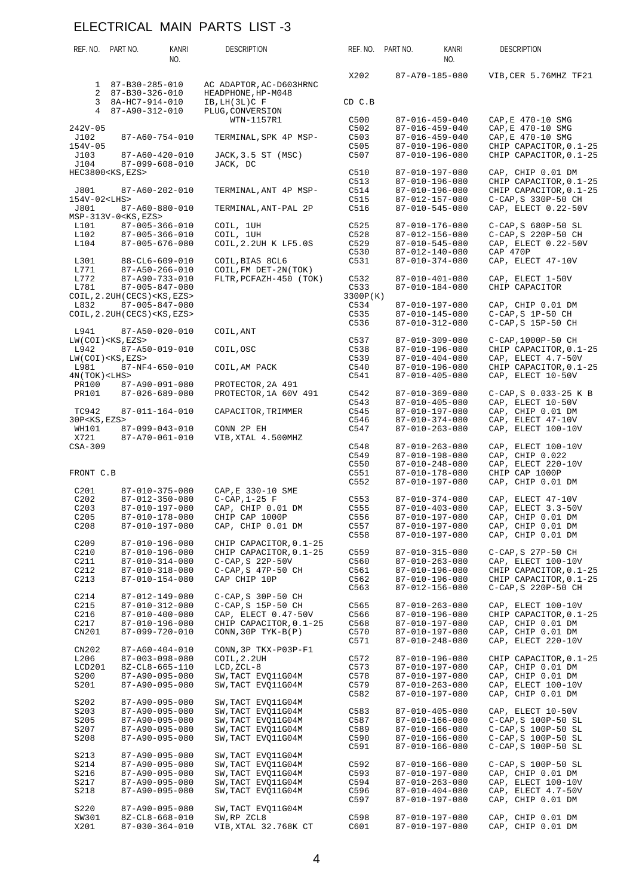| REF. NO.                 | PART NO.                         | KANRI<br>NO.                                     | <b>DESCRIPTION</b>                              | REF. NO.         | PART NO. | KANRI<br>NO.                                     | <b>DESCRIPTION</b>                           |
|--------------------------|----------------------------------|--------------------------------------------------|-------------------------------------------------|------------------|----------|--------------------------------------------------|----------------------------------------------|
| 1                        | 87-B30-285-010                   |                                                  | AC ADAPTOR, AC-D603HRNC                         | X202             |          | 87-A70-185-080                                   | VIB, CER 5.76MHZ TF21                        |
| 2<br>3                   | 87-B30-326-010<br>8A-HC7-914-010 |                                                  | HEADPHONE, HP-M048<br>IB, LH(3L)C F             | CD C.B           |          |                                                  |                                              |
| $\overline{4}$           | 87-A90-312-010                   |                                                  | PLUG, CONVERSION<br>WTN-1157R1                  | C500             |          | $87 - 016 - 459 - 040$                           | CAP, E 470-10 SMG                            |
| $242V - 05$              |                                  |                                                  |                                                 | C502             |          | $87 - 016 - 459 - 040$                           | CAP, E 470-10 SMG                            |
| J102                     |                                  | 87-A60-754-010                                   | TERMINAL, SPK 4P MSP-                           | C503             |          | $87 - 016 - 459 - 040$                           | CAP, E 470-10 SMG                            |
| $154V - 05$              |                                  |                                                  |                                                 | C505             |          | 87-010-196-080                                   | CHIP CAPACITOR, 0.1-25                       |
| J103<br>J104             |                                  | 87-A60-420-010<br>$87 - 099 - 608 - 010$         | JACK, 3.5 ST (MSC)<br>JACK, DC                  | C507             |          | 87-010-196-080                                   | CHIP CAPACITOR, 0.1-25                       |
|                          | HEC3800 <ks, ezs=""></ks,>       |                                                  |                                                 | C510             |          | 87-010-197-080                                   | CAP, CHIP 0.01 DM                            |
|                          |                                  |                                                  |                                                 | C513             |          | 87-010-196-080                                   | CHIP CAPACITOR, 0.1-25                       |
| J801                     |                                  | $87 - A60 - 202 - 010$                           | TERMINAL, ANT 4P MSP-                           | C514             |          | 87-010-196-080                                   | CHIP CAPACITOR, 0.1-25                       |
| 154V-02 <lhs></lhs>      |                                  |                                                  |                                                 | C515             |          | 87-012-157-080                                   | C-CAP, S 330P-50 CH                          |
| J801                     | $MSP-313V-0<$ KS, EZS>           | 87-A60-880-010                                   | TERMINAL, ANT-PAL 2P                            | C516             |          | 87-010-545-080                                   | CAP, ELECT 0.22-50V                          |
| L101                     |                                  | $87 - 005 - 366 - 010$                           | COIL, 1UH                                       | C525             |          | 87-010-176-080                                   | C-CAP, S 680P-50 SL                          |
| L102                     |                                  | $87 - 005 - 366 - 010$                           | COIL, 1UH                                       | C528             |          | 87-012-156-080                                   | C-CAP, S 220P-50 CH                          |
| L104                     |                                  | $87 - 005 - 676 - 080$                           | COIL, 2.2UH K LF5.0S                            | C529             |          | 87-010-545-080                                   | CAP, ELECT 0.22-50V                          |
| L301                     |                                  | $88 - CL6 - 609 - 010$                           | COIL, BIAS 8CL6                                 | C530<br>C531     |          | 87-012-140-080<br>87-010-374-080                 | CAP 470P<br>CAP, ELECT 47-10V                |
| L771                     |                                  | $87 - A50 - 266 - 010$                           | COIL, FM DET-2N(TOK)                            |                  |          |                                                  |                                              |
| L772                     |                                  | 87-A90-733-010                                   | FLTR, PCFAZH-450 (TOK)                          | C532             |          | 87-010-401-080                                   | CAP, ELECT 1-50V                             |
| L781                     |                                  | 87-005-847-080                                   |                                                 | C533             |          | $87 - 010 - 184 - 080$                           | CHIP CAPACITOR                               |
| L832                     | COIL, 2.2UH (CECS) < KS, EZS >   | 87-005-847-080                                   |                                                 | 3300P(K)<br>C534 |          | 87-010-197-080                                   | CAP, CHIP 0.01 DM                            |
|                          | COIL, 2.2UH (CECS) < KS, EZS >   |                                                  |                                                 | C535             |          | 87-010-145-080                                   | $C-CAP$ , S $1P-50$ CH                       |
|                          |                                  |                                                  |                                                 | C536             |          | 87-010-312-080                                   | C-CAP, S 15P-50 CH                           |
| L941                     |                                  | 87-A50-020-010                                   | COIL, ANT                                       |                  |          |                                                  |                                              |
| L942                     | $LW(COI) < KS$ , $EZS$           | 87-A50-019-010                                   | COIL, OSC                                       | C537<br>C538     |          | $87 - 010 - 309 - 080$<br>87-010-196-080         | C-CAP, 1000P-50 CH<br>CHIP CAPACITOR, 0.1-25 |
|                          | $LW(COI) < KS$ , $EZS$           |                                                  |                                                 | C539             |          | $87 - 010 - 404 - 080$                           | CAP, ELECT 4.7-50V                           |
| L981                     |                                  | $87 - NF4 - 650 - 010$                           | COIL, AM PACK                                   | C540             |          | 87-010-196-080                                   | CHIP CAPACITOR, 0.1-25                       |
| $4N(TOK)$ < LHS >        |                                  |                                                  |                                                 | C541             |          | $87 - 010 - 405 - 080$                           | CAP, ELECT 10-50V                            |
| PR100<br>PR101           |                                  | 87-A90-091-080<br>$87 - 026 - 689 - 080$         | PROTECTOR, 2A 491<br>PROTECTOR, 1A 60V 491      | C542             |          | 87-010-369-080                                   | $C-CAP$ , $S$ 0.033-25 K B                   |
|                          |                                  |                                                  |                                                 | C543             |          | $87 - 010 - 405 - 080$                           | CAP, ELECT 10-50V                            |
| TC942                    |                                  | 87-011-164-010                                   | CAPACITOR, TRIMMER                              | C545             |          | 87-010-197-080                                   | CAP, CHIP 0.01 DM                            |
| 30P <ks, ezs=""></ks,>   |                                  |                                                  |                                                 | C546             |          | 87-010-374-080                                   | CAP, ELECT 47-10V                            |
| WH101<br>X721            |                                  | $87 - 099 - 043 - 010$<br>87-A70-061-010         | CONN 2P EH<br>VIB, XTAL 4.500MHZ                | C547             |          | $87 - 010 - 263 - 080$                           | CAP, ELECT 100-10V                           |
| $CSA-309$                |                                  |                                                  |                                                 | C548             |          | $87 - 010 - 263 - 080$                           | CAP, ELECT 100-10V                           |
|                          |                                  |                                                  |                                                 | C549             |          | 87-010-198-080                                   | CAP, CHIP 0.022                              |
|                          |                                  |                                                  |                                                 | C550             |          | 87-010-248-080                                   | CAP, ELECT 220-10V                           |
| FRONT C.B                |                                  |                                                  |                                                 | C551<br>C552     |          | 87-010-178-080<br>87-010-197-080                 | CHIP CAP 1000P<br>CAP, CHIP 0.01 DM          |
| C201                     |                                  | $87 - 010 - 375 - 080$                           | CAP, E 330-10 SME                               |                  |          |                                                  |                                              |
| C <sub>202</sub>         |                                  | $87 - 012 - 350 - 080$                           | $C-CAP, 1-25 F$                                 | C553             |          | 87-010-374-080                                   | CAP, ELECT 47-10V                            |
| C203<br>C <sub>205</sub> |                                  | 87-010-197-080<br>87-010-178-080                 | CAP, CHIP 0.01 DM<br>CHIP CAP 1000P             | C555<br>C556     |          | 87-010-403-080<br>87-010-197-080                 | CAP, ELECT 3.3-50V<br>CAP, CHIP 0.01 DM      |
| C <sub>208</sub>         |                                  | 87-010-197-080                                   | CAP, CHIP 0.01 DM                               | C557             |          | 87-010-197-080                                   | CAP, CHIP 0.01 DM                            |
|                          |                                  |                                                  |                                                 | C558             |          | 87-010-197-080                                   | CAP, CHIP 0.01 DM                            |
| C <sub>209</sub>         |                                  | $87 - 010 - 196 - 080$                           | CHIP CAPACITOR, 0.1-25                          |                  |          |                                                  |                                              |
| C210<br>C211             |                                  | 87-010-196-080<br>87-010-314-080                 | CHIP CAPACITOR, 0.1-25<br>$C-CAP$ , S $22P-50V$ | C559<br>C560     |          | $87 - 010 - 315 - 080$<br>$87 - 010 - 263 - 080$ | C-CAP, S 27P-50 CH<br>CAP, ELECT 100-10V     |
| C212                     |                                  | 87-010-318-080                                   | C-CAP, S 47P-50 CH                              | C561             |          | 87-010-196-080                                   | CHIP CAPACITOR, 0.1-25                       |
| C213                     |                                  | $87 - 010 - 154 - 080$                           | CAP CHIP 10P                                    | C562             |          | 87-010-196-080                                   | CHIP CAPACITOR, 0.1-25                       |
|                          |                                  |                                                  |                                                 | C563             |          | 87-012-156-080                                   | C-CAP, S 220P-50 CH                          |
| C214<br>C <sub>215</sub> |                                  | 87-012-149-080<br>87-010-312-080                 | C-CAP, S 30P-50 CH<br>C-CAP, S 15P-50 CH        | C565             |          | $87 - 010 - 263 - 080$                           | CAP, ELECT 100-10V                           |
| C216                     |                                  | 87-010-400-080                                   | CAP, ELECT 0.47-50V                             | C566             |          | 87-010-196-080                                   | CHIP CAPACITOR, 0.1-25                       |
| C217                     |                                  | 87-010-196-080                                   | CHIP CAPACITOR, 0.1-25                          | C568             |          | 87-010-197-080                                   | CAP, CHIP 0.01 DM                            |
| CN201                    |                                  | $87 - 099 - 720 - 010$                           | $CONN, 30P$ TYK-B(P)                            | C570             |          | 87-010-197-080                                   | CAP, CHIP 0.01 DM                            |
| CN202                    |                                  | $87 - A60 - 404 - 010$                           | CONN, 3P TKX-P03P-F1                            | C571             |          | $87 - 010 - 248 - 080$                           | CAP, ELECT 220-10V                           |
| L206                     |                                  | $87 - 003 - 098 - 080$                           | COIL, 2.2UH                                     | C572             |          | 87-010-196-080                                   | CHIP CAPACITOR, 0.1-25                       |
| LCD201                   |                                  | 8Z-CL8-665-110                                   | $LCD, ZCL-8$                                    | C573             |          | 87-010-197-080                                   | CAP, CHIP 0.01 DM                            |
| S200                     |                                  | 87-A90-095-080                                   | SW, TACT EVO11G04M                              | C578             |          | 87-010-197-080                                   | CAP, CHIP 0.01 DM                            |
| S201                     |                                  | 87-A90-095-080                                   | SW, TACT EVQ11G04M                              | C579<br>C582     |          | $87 - 010 - 263 - 080$<br>87-010-197-080         | CAP, ELECT 100-10V<br>CAP, CHIP 0.01 DM      |
| S202                     |                                  | 87-A90-095-080                                   | SW, TACT EVO11G04M                              |                  |          |                                                  |                                              |
| S203                     |                                  | 87-A90-095-080                                   | SW, TACT EVQ11G04M                              | C583             |          | $87 - 010 - 405 - 080$                           | CAP, ELECT 10-50V                            |
| S205                     |                                  | 87-A90-095-080                                   | SW, TACT EVO11G04M                              | C587             |          | 87-010-166-080                                   | C-CAP, S 100P-50 SL                          |
| S207<br>S208             |                                  | 87-A90-095-080<br>87-A90-095-080                 | SW, TACT EVO11G04M<br>SW, TACT EVQ11G04M        | C589<br>C590     |          | 87-010-166-080<br>87-010-166-080                 | C-CAP, S 100P-50 SL<br>C-CAP, S 100P-50 SL   |
|                          |                                  |                                                  |                                                 | C591             |          | 87-010-166-080                                   | C-CAP, S 100P-50 SL                          |
| S213                     |                                  | 87-A90-095-080                                   | SW, TACT EVQ11G04M                              |                  |          |                                                  |                                              |
| S214                     |                                  | 87-A90-095-080                                   | SW, TACT EVQ11G04M                              | C592             |          | 87-010-166-080                                   | C-CAP, S 100P-50 SL                          |
| S216<br>S217             |                                  | 87-A90-095-080<br>87-A90-095-080                 | SW, TACT EVO11G04M<br>SW, TACT EVQ11G04M        | C593<br>C594     |          | 87-010-197-080<br>$87 - 010 - 263 - 080$         | CAP, CHIP 0.01 DM<br>CAP, ELECT 100-10V      |
| S218                     |                                  | 87-A90-095-080                                   | SW, TACT EVQ11G04M                              | C596             |          | $87 - 010 - 404 - 080$                           | CAP, ELECT 4.7-50V                           |
|                          |                                  |                                                  |                                                 | C597             |          | 87-010-197-080                                   | CAP, CHIP 0.01 DM                            |
| S220                     |                                  | 87-A90-095-080                                   | SW, TACT EVQ11G04M                              |                  |          |                                                  |                                              |
| SW301<br>X201            |                                  | $8Z - CL8 - 668 - 010$<br>$87 - 030 - 364 - 010$ | SW, RP ZCL8<br>VIB, XTAL 32.768K CT             | C598<br>C601     |          | 87-010-197-080<br>87-010-197-080                 | CAP, CHIP 0.01 DM<br>CAP, CHIP 0.01 DM       |
|                          |                                  |                                                  |                                                 |                  |          |                                                  |                                              |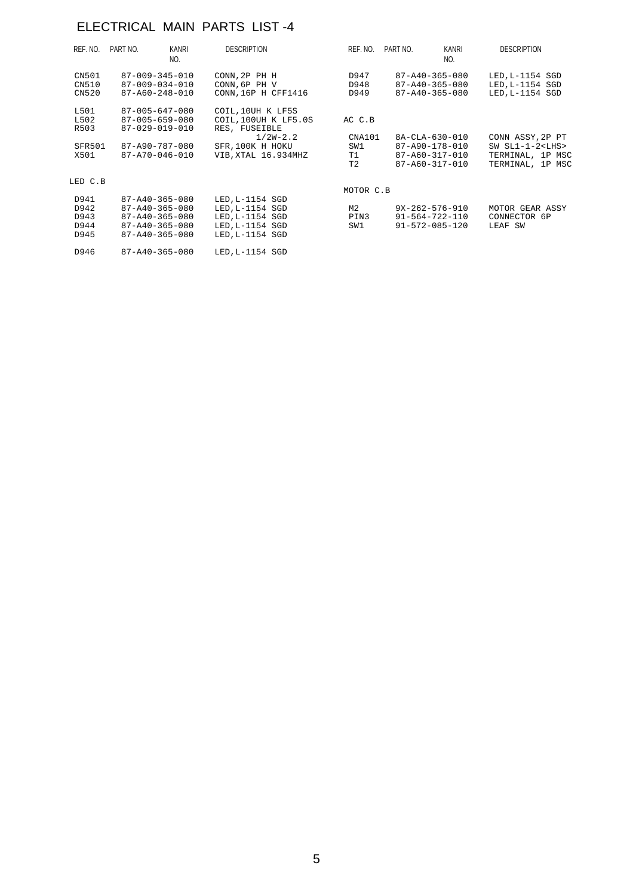| REF. NO. | PART NO. | KANRI<br>NO.           | <b>DESCRIPTION</b>   | REF. NO.  | PART NO. | KANRI<br>NO.           | <b>DESCRIPTION</b> |
|----------|----------|------------------------|----------------------|-----------|----------|------------------------|--------------------|
| CN501    |          | $87 - 009 - 345 - 010$ | CONN, 2P PH H        | D947      |          | 87-A40-365-080         | LED, L-1154 SGD    |
| CN510    |          | 87-009-034-010         | CONN, 6P PH V        | D948      |          | 87-A40-365-080         | LED, L-1154 SGD    |
| CN520    |          | 87-A60-248-010         | CONN, 16P H CFF1416  | D949      |          | $87 - A40 - 365 - 080$ | LED, L-1154 SGD    |
| L501     |          | 87-005-647-080         | COIL, 10UH K LF5S    |           |          |                        |                    |
| L502     |          | $87 - 005 - 659 - 080$ | COIL, 100UH K LF5.0S | AC C.B    |          |                        |                    |
| R503     |          | $87 - 029 - 019 - 010$ | RES, FUSEIBLE        |           |          |                        |                    |
|          |          |                        | $1/2W-2.2$           | CNA101    |          | 8A-CLA-630-010         | CONN ASSY, 2P PT   |
| SFR501   |          | 87-A90-787-080         | SFR, 100K H HOKU     | SW1       |          | 87-A90-178-010         | SW $SL1-1-2$       |
| X501     |          | 87-A70-046-010         | VIB, XTAL 16.934MHZ  | T1        |          | 87-A60-317-010         | TERMINAL, 1P MSC   |
|          |          |                        |                      | T2        |          | 87-A60-317-010         | TERMINAL, 1P MSC   |
| LED C.B  |          |                        |                      |           |          |                        |                    |
|          |          |                        |                      | MOTOR C.B |          |                        |                    |
| D941     |          | $87 - A40 - 365 - 080$ | LED, L-1154 SGD      |           |          |                        |                    |
| D942     |          | $87 - A40 - 365 - 080$ | $LED.L-1154$ SGD     | М2        |          | $9X-262-576-910$       | MOTOR GEAR ASSY    |
| D943     |          | $87 - A40 - 365 - 080$ | $LED, L-1154$ SGD    | PIN3      |          | 91-564-722-110         | CONNECTOR 6P       |
| D944     |          | $87 - A40 - 365 - 080$ | $LED, L-1154$ SGD    | SW1       |          | 91-572-085-120         | LEAF SW            |
| D945     |          | $87 - A40 - 365 - 080$ | LED, L-1154 SGD      |           |          |                        |                    |
| D946     |          | $87 - A40 - 365 - 080$ | LED, L-1154 SGD      |           |          |                        |                    |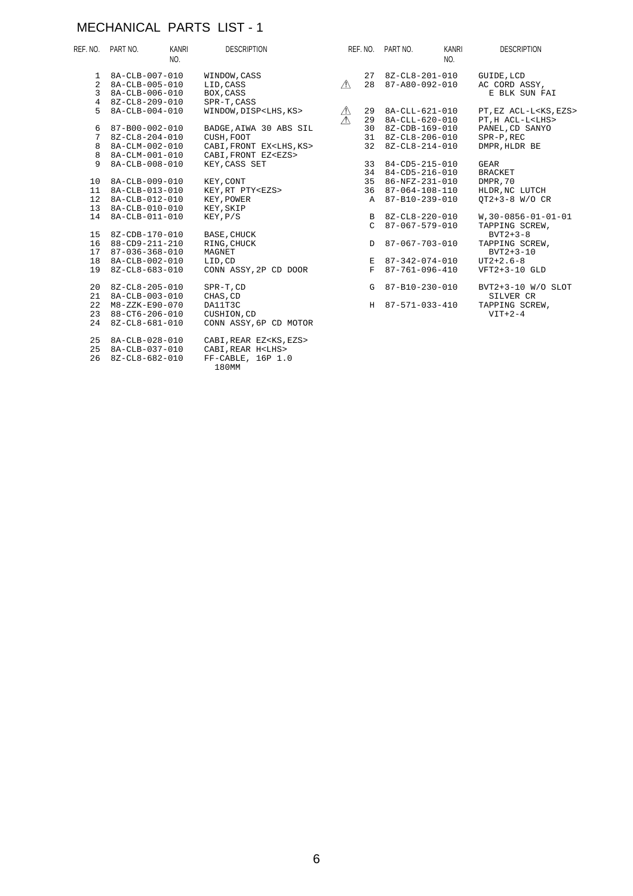#### MECHANICAL PARTS LIST - 1

|                  | REF. NO. PART NO.      | KANRI<br>NO. | <b>DESCRIPTION</b>                 |             | REF. NO. PART NO.  | KANRI<br>NO. | <b>DESCRIPTION</b>              |
|------------------|------------------------|--------------|------------------------------------|-------------|--------------------|--------------|---------------------------------|
|                  | 1 8A-CLB-007-010       |              | WINDOW, CASS                       |             | 27 8Z-CL8-201-010  |              | GUIDE, LCD                      |
| 2                | 8A-CLB-005-010         |              | LID, CASS                          | $\sqrt{N}$  | 28 87-A80-092-010  |              | AC CORD ASSY,                   |
| 3                | 8A-CLB-006-010         |              | BOX, CASS                          |             |                    |              | E BLK SUN FAI                   |
| $\overline{4}$   | 8Z-CL8-209-010         |              | SPR-T, CASS                        |             |                    |              |                                 |
| 5.               | 8A-CLB-004-010         |              | WINDOW, DISP <lhs, ks=""></lhs,>   | $\triangle$ | 29 8A-CLL-621-010  |              | PT, EZ ACL-L <ks, ezs=""></ks,> |
|                  |                        |              |                                    | $\wedge$    | 29 8A-CLL-620-010  |              | PT, H ACL-L <lhs></lhs>         |
| 6                | 87-B00-002-010         |              | BADGE, AIWA 30 ABS SIL             |             | 30 8Z-CDB-169-010  |              | PANEL, CD SANYO                 |
| 7                | $8Z - CL8 - 204 - 010$ |              | CUSH, FOOT                         |             | 31 8Z-CL8-206-010  |              | SPR-P, REC                      |
| 8                | 8A-CLM-002-010         |              | CABI, FRONT EX <lhs, ks=""></lhs,> |             | 32 8Z-CL8-214-010  |              | DMPR, HLDR BE                   |
| 8                | 8A-CLM-001-010         |              | CABI, FRONT EZ <ezs></ezs>         |             |                    |              |                                 |
| 9                | 8A-CLB-008-010         |              | KEY, CASS SET                      |             | 33 84-CD5-215-010  |              | GEAR                            |
|                  |                        |              |                                    |             | 34 84-CD5-216-010  |              | <b>BRACKET</b>                  |
| 10               | 8A-CLB-009-010         |              | KEY, CONT                          |             | 35 86-NFZ-231-010  |              | DMPR, 70                        |
| 11               | 8A-CLB-013-010         |              | KEY, RT PTY <ezs></ezs>            |             | 36 87-064-108-110  |              | HLDR, NC LUTCH                  |
| 12 <sup>12</sup> | 8A-CLB-012-010         |              | KEY, POWER                         |             | A 87-B10-239-010   |              | $OT2+3-8$ W/O CR                |
| 13 <sup>1</sup>  | 8A-CLB-010-010         |              | KEY, SKIP                          |             |                    |              |                                 |
| 14               | 8A-CLB-011-010         |              | KEY, P/S                           |             | B 8Z-CL8-220-010   |              | $W, 30-0856-01-01-01$           |
|                  |                        |              |                                    |             | $C$ 87-067-579-010 |              | TAPPING SCREW,                  |
|                  | 15 8Z-CDB-170-010      |              | BASE, CHUCK                        |             |                    |              | $BVT2+3-8$                      |
| 16               | 88-CD9-211-210         |              | RING, CHUCK                        |             | D 87-067-703-010   |              | TAPPING SCREW,                  |
|                  | 17 87-036-368-010      |              | MAGNET                             |             |                    |              | $BVT2+3-10$                     |
| 18               | 8A-CLB-002-010         |              | LID, CD                            |             | E 87-342-074-010   |              | $UT2+2.6-8$                     |
| 19               | 8Z-CL8-683-010         |              | CONN ASSY, 2P CD DOOR              |             | F 87-761-096-410   |              | VFT2+3-10 GLD                   |
|                  | 20 8Z-CL8-205-010      |              | SPR-T, CD                          |             | G 87-B10-230-010   |              | BVT2+3-10 W/O SLOT              |
| 21               | 8A-CLB-003-010         |              | CHAS, CD                           |             |                    |              | SILVER CR                       |
| 22               | $M8 - ZZK - E90 - 070$ |              | DA11T3C                            |             | H 87-571-033-410   |              | TAPPING SCREW,                  |
|                  | 23 88-CT6-206-010      |              | CUSHION, CD                        |             |                    |              | $VIT+2-4$                       |
|                  | 24 8Z-CL8-681-010      |              | CONN ASSY, 6P CD MOTOR             |             |                    |              |                                 |
|                  | 25 8A-CLB-028-010      |              | CABI, REAR EZ <ks, ezs=""></ks,>   |             |                    |              |                                 |
| 25               | 8A-CLB-037-010         |              | CABI, REAR H <lhs></lhs>           |             |                    |              |                                 |
| 26               | 8Z-CL8-682-010         |              | FF-CABLE, 16P 1.0                  |             |                    |              |                                 |
|                  |                        |              | 180MM                              |             |                    |              |                                 |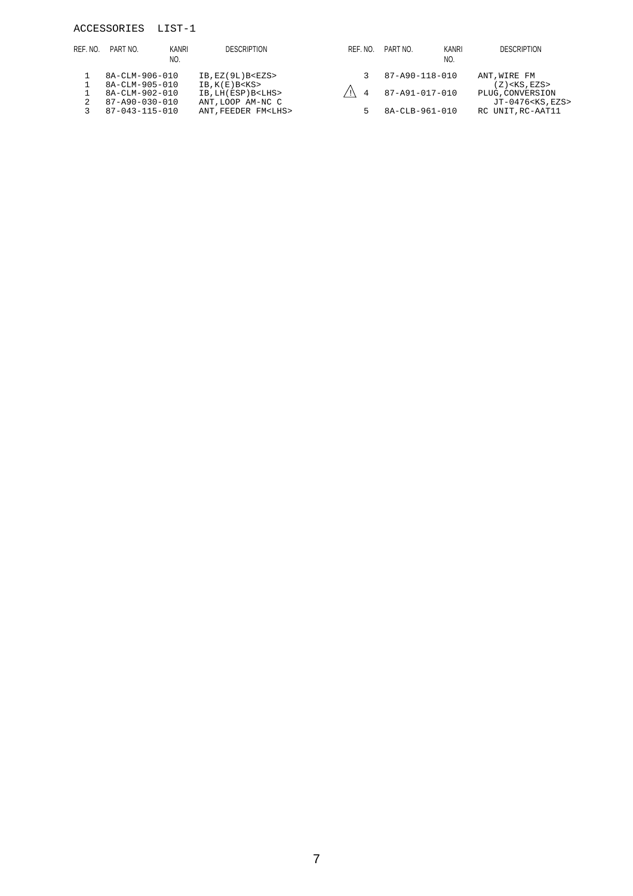#### ACCESSORIES LIST-1

| REF. NO.       | PART NO.               | KANRI<br>NO. | <b>DESCRIPTION</b>         | REF. NO. | PART NO.       | KANRI<br>NO. | <b>DESCRIPTION</b>         |
|----------------|------------------------|--------------|----------------------------|----------|----------------|--------------|----------------------------|
|                | 8A-CLM-906-010         |              | $IB$ , $EZ(9L)$ $B < EZS$  |          | 87-A90-118-010 |              | ANT, WIRE FM               |
|                | $8A - CLM - 905 - 010$ |              | $IB$ , $K(E)$ $B <$ $KS$ > |          |                |              | $(Z)$ < KS, EZS >          |
|                | $8A - CLM - 902 - 010$ |              | IB, LH(ESP) B <lhs></lhs>  |          | 87-A91-017-010 |              | PLUG, CONVERSION           |
| $\overline{2}$ | 87-A90-030-010         |              | ANT, LOOP AM-NC C          |          |                |              | JT-0476 <ks, ezs=""></ks,> |
|                | 87-043-115-010         |              | ANT. FEEDER FM <lhs></lhs> |          | 8A-CLB-961-010 |              | RC UNIT, RC-AAT11          |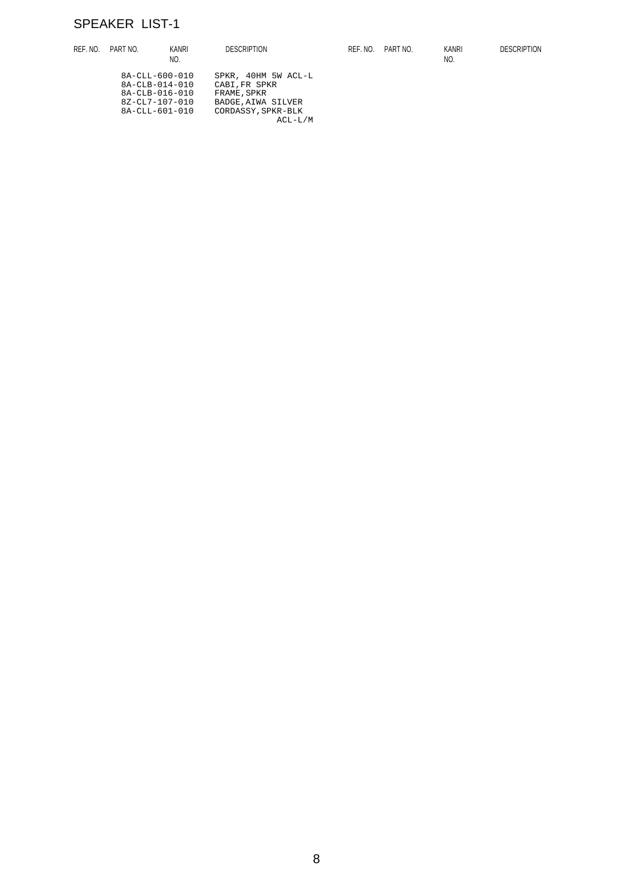# SPEAKER LIST-1

| REF. NO. | PART NO.         | <b>KANRI</b>   | <b>DESCRIPTION</b>        | REF. NO. | PART NO. | <b>KANRI</b> | <b>DESCRIPTION</b> |
|----------|------------------|----------------|---------------------------|----------|----------|--------------|--------------------|
|          |                  | NO.            |                           |          |          | NO.          |                    |
|          |                  | 8A-CLL-600-010 | SPKR, 40HM 5W ACL-L       |          |          |              |                    |
|          |                  | 8A-CLB-014-010 | CABI, FR SPKR             |          |          |              |                    |
|          | $8A-CLB-016-010$ |                | FRAME, SPKR               |          |          |              |                    |
|          | 8Z-CL7-107-010   |                | <b>BADGE, AIWA SILVER</b> |          |          |              |                    |
|          |                  | 8A-CLL-601-010 | CORDASSY, SPKR-BLK        |          |          |              |                    |
|          |                  |                | $ACL-L/M$                 |          |          |              |                    |